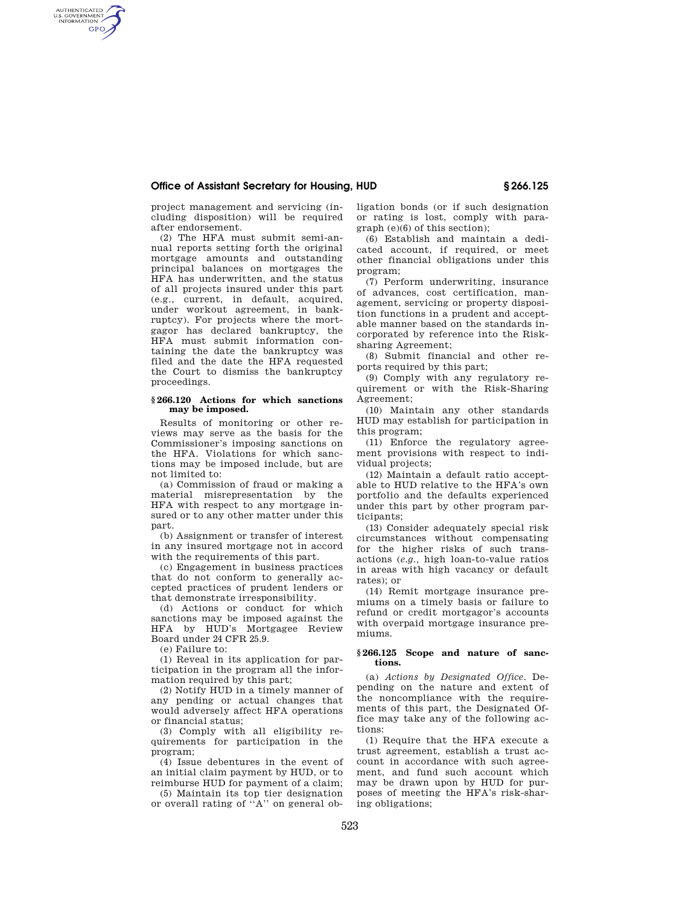## **Office of Assistant Secretary for Housing, HUD § 266.125**

project management and servicing (including disposition) will be required after endorsement.

AUTHENTICATED<br>U.S. GOVERNMENT<br>INFORMATION **GPO** 

> (2) The HFA must submit semi-annual reports setting forth the original mortgage amounts and outstanding principal balances on mortgages the HFA has underwritten, and the status of all projects insured under this part (e.g., current, in default, acquired, under workout agreement, in bankruptcy). For projects where the mortgagor has declared bankruptcy, the HFA must submit information containing the date the bankruptcy was filed and the date the HFA requested the Court to dismiss the bankruptcy proceedings.

### **§ 266.120 Actions for which sanctions may be imposed.**

Results of monitoring or other reviews may serve as the basis for the Commissioner's imposing sanctions on the HFA. Violations for which sanctions may be imposed include, but are not limited to:

(a) Commission of fraud or making a material misrepresentation by the HFA with respect to any mortgage insured or to any other matter under this part.

(b) Assignment or transfer of interest in any insured mortgage not in accord with the requirements of this part.

(c) Engagement in business practices that do not conform to generally accepted practices of prudent lenders or that demonstrate irresponsibility.

(d) Actions or conduct for which sanctions may be imposed against the HFA by HUD's Mortgagee Review Board under 24 CFR 25.9.

(e) Failure to:

(1) Reveal in its application for participation in the program all the information required by this part;

(2) Notify HUD in a timely manner of any pending or actual changes that would adversely affect HFA operations or financial status;

(3) Comply with all eligibility requirements for participation in the program;

(4) Issue debentures in the event of an initial claim payment by HUD, or to reimburse HUD for payment of a claim;

(5) Maintain its top tier designation or overall rating of ''A'' on general obligation bonds (or if such designation or rating is lost, comply with paragraph (e)(6) of this section);

(6) Establish and maintain a dedicated account, if required, or meet other financial obligations under this program;

(7) Perform underwriting, insurance of advances, cost certification, management, servicing or property disposition functions in a prudent and acceptable manner based on the standards incorporated by reference into the Risksharing Agreement;

(8) Submit financial and other reports required by this part;

(9) Comply with any regulatory requirement or with the Risk-Sharing Agreement;

(10) Maintain any other standards HUD may establish for participation in this program;

(11) Enforce the regulatory agreement provisions with respect to individual projects;

(12) Maintain a default ratio acceptable to HUD relative to the HFA's own portfolio and the defaults experienced under this part by other program participants;

(13) Consider adequately special risk circumstances without compensating for the higher risks of such transactions (*e.g.,* high loan-to-value ratios in areas with high vacancy or default rates); or

(14) Remit mortgage insurance premiums on a timely basis or failure to refund or credit mortgagor's accounts with overpaid mortgage insurance premiums.

### **§ 266.125 Scope and nature of sanctions.**

(a) *Actions by Designated Office.* Depending on the nature and extent of the noncompliance with the requirements of this part, the Designated Office may take any of the following actions:

(1) Require that the HFA execute a trust agreement, establish a trust account in accordance with such agreement, and fund such account which may be drawn upon by HUD for purposes of meeting the HFA's risk-sharing obligations;